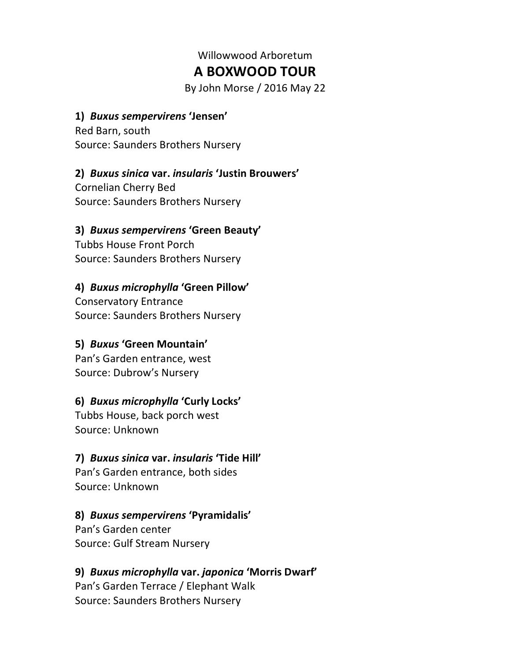# Willowwood Arboretum **A BOXWOOD TOUR**

By John Morse / 2016 May 22

#### **1)** *Buxus sempervirens* **'Jensen'**

Red Barn, south Source: Saunders Brothers Nursery

## **2)** *Buxus sinica* **var.** *insularis* **'Justin Brouwers'**

Cornelian Cherry Bed Source: Saunders Brothers Nursery

#### **3)** *Buxus sempervirens* **'Green Beauty'**

Tubbs House Front Porch Source: Saunders Brothers Nursery

## **4)** *Buxus microphylla* **'Green Pillow'**

Conservatory Entrance Source: Saunders Brothers Nursery

#### **5)** *Buxus* **'Green Mountain'**

Pan's Garden entrance, west Source: Dubrow's Nursery

## **6)** *Buxus microphylla* **'Curly Locks'**

Tubbs House, back porch west Source: Unknown

## **7)** *Buxus sinica* **var.** *insularis* **'Tide Hill'**

Pan's Garden entrance, both sides Source: Unknown

#### **8)** *Buxus sempervirens* **'Pyramidalis'**

Pan's Garden center Source: Gulf Stream Nursery

## **9)** *Buxus microphylla* **var.** *japonica* **'Morris Dwarf'**

Pan's Garden Terrace / Elephant Walk Source: Saunders Brothers Nursery